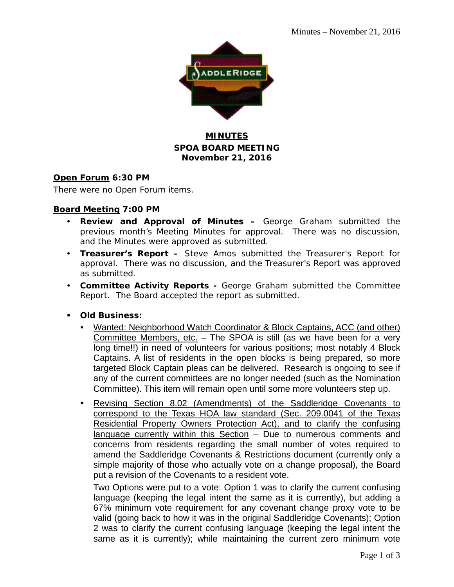

## **MINUTES SPOA BOARD MEETING November 21, 2016**

### **Open Forum 6:30 PM**

There were no Open Forum items.

### **Board Meeting 7:00 PM**

- **Review and Approval of Minutes –** George Graham submitted the previous month's Meeting Minutes for approval. There was no discussion, and the Minutes were approved as submitted.
- **Treasurer's Report –** Steve Amos submitted the Treasurer's Report for approval. There was no discussion, and the Treasurer's Report was approved as submitted.
- **Committee Activity Reports -** George Graham submitted the Committee Report. The Board accepted the report as submitted.
- **Old Business:**
	- Wanted: Neighborhood Watch Coordinator & Block Captains, ACC (and other) Committee Members, etc. – The SPOA is still (as we have been for a very long time!!) in need of volunteers for various positions; most notably 4 Block Captains. A list of residents in the open blocks is being prepared, so more targeted Block Captain pleas can be delivered. Research is ongoing to see if any of the current committees are no longer needed (such as the Nomination Committee). This item will remain open until some more volunteers step up.
	- Revising Section 8.02 (Amendments) of the Saddleridge Covenants to correspond to the Texas HOA law standard (Sec. 209.0041 of the Texas Residential Property Owners Protection Act), and to clarify the confusing language currently within this Section – Due to numerous comments and concerns from residents regarding the small number of votes required to amend the Saddleridge Covenants & Restrictions document (currently only a simple majority of those who actually vote on a change proposal), the Board put a revision of the Covenants to a resident vote.

Two Options were put to a vote: Option 1 was to clarify the current confusing language (keeping the legal intent the same as it is currently), but adding a 67% minimum vote requirement for any covenant change proxy vote to be valid (going back to how it was in the original Saddleridge Covenants); Option 2 was to clarify the current confusing language (keeping the legal intent the same as it is currently); while maintaining the current zero minimum vote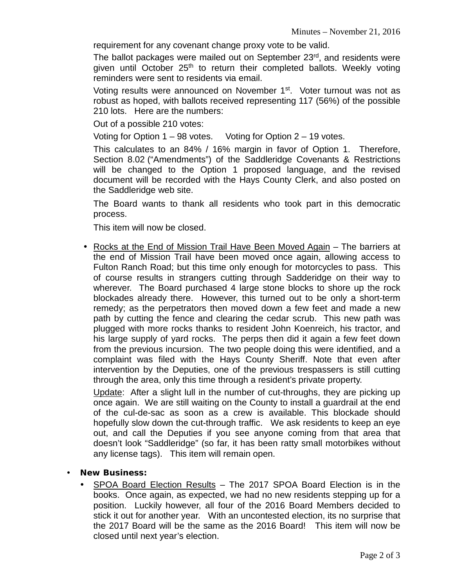requirement for any covenant change proxy vote to be valid.

The ballot packages were mailed out on September 23rd, and residents were given until October 25<sup>th</sup> to return their completed ballots. Weekly voting reminders were sent to residents via email.

Voting results were announced on November 1<sup>st</sup>. Voter turnout was not as robust as hoped, with ballots received representing 117 (56%) of the possible 210 lots. Here are the numbers:

Out of a possible 210 votes:

Voting for Option 1 – 98 votes. Voting for Option 2 – 19 votes.

This calculates to an 84% / 16% margin in favor of Option 1. Therefore, Section 8.02 ("Amendments") of the Saddleridge Covenants & Restrictions will be changed to the Option 1 proposed language, and the revised document will be recorded with the Hays County Clerk, and also posted on the Saddleridge web site.

The Board wants to thank all residents who took part in this democratic process.

This item will now be closed.

• Rocks at the End of Mission Trail Have Been Moved Again – The barriers at the end of Mission Trail have been moved once again, allowing access to Fulton Ranch Road; but this time only enough for motorcycles to pass. This of course results in strangers cutting through Sadderidge on their way to wherever. The Board purchased 4 large stone blocks to shore up the rock blockades already there. However, this turned out to be only a short-term remedy; as the perpetrators then moved down a few feet and made a new path by cutting the fence and clearing the cedar scrub. This new path was plugged with more rocks thanks to resident John Koenreich, his tractor, and his large supply of yard rocks. The perps then did it again a few feet down from the previous incursion. The two people doing this were identified, and a complaint was filed with the Hays County Sheriff. Note that even after intervention by the Deputies, one of the previous trespassers is still cutting through the area, only this time through a resident's private property.

Update: After a slight lull in the number of cut-throughs, they are picking up once again. We are still waiting on the County to install a guardrail at the end of the cul-de-sac as soon as a crew is available. This blockade should hopefully slow down the cut-through traffic. We ask residents to keep an eye out, and call the Deputies if you see anyone coming from that area that doesn't look "Saddleridge" (so far, it has been ratty small motorbikes without any license tags). This item will remain open.

- **New Business:**
	- SPOA Board Election Results The 2017 SPOA Board Election is in the books. Once again, as expected, we had no new residents stepping up for a position. Luckily however, all four of the 2016 Board Members decided to stick it out for another year. With an uncontested election, its no surprise that the 2017 Board will be the same as the 2016 Board! This item will now be closed until next year's election.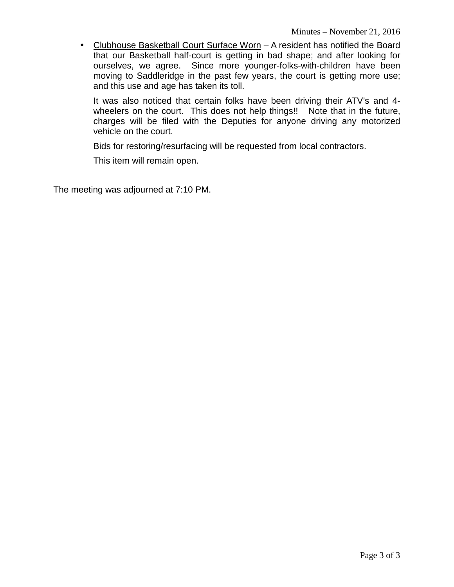Clubhouse Basketball Court Surface Worn – A resident has notified the Board that our Basketball half-court is getting in bad shape; and after looking for ourselves, we agree. Since more younger-folks-with-children have been moving to Saddleridge in the past few years, the court is getting more use; and this use and age has taken its toll.

It was also noticed that certain folks have been driving their ATV's and 4 wheelers on the court. This does not help things!! Note that in the future, charges will be filed with the Deputies for anyone driving any motorized vehicle on the court.

Bids for restoring/resurfacing will be requested from local contractors.

This item will remain open.

The meeting was adjourned at 7:10 PM.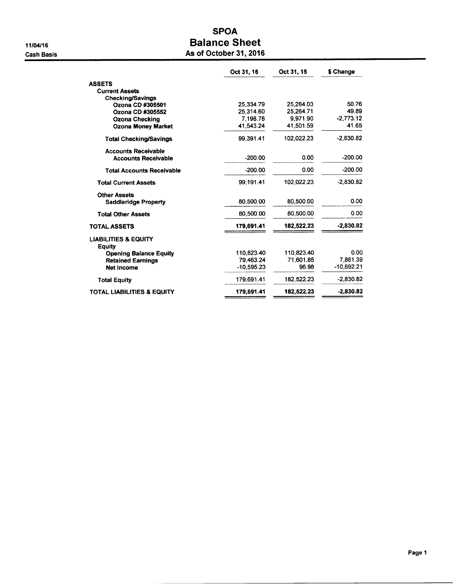11/04/16 **Cash Basis** 

## **SPOA Balance Sheet** As of October 31, 2016

|                                           | Oct 31, 16   | Oct 31, 15 | \$ Change   |
|-------------------------------------------|--------------|------------|-------------|
| <b>ASSETS</b>                             |              |            |             |
| <b>Current Assets</b>                     |              |            |             |
| Checking/Savings                          |              |            |             |
| Ozona CD #305501                          | 25.334.79    | 25,284.03  | 50.76       |
| Ozona CD #305552                          | 25,314.60    | 25.264.71  | 49.89       |
| <b>Ozona Checking</b>                     | 7,198.78     | 9,971.90   | $-2,773.12$ |
| <b>Ozona Money Market</b>                 | 41.543.24    | 41,501.59  | 41.65       |
| <b>Total Checking/Savings</b>             | 99.391.41    | 102.022.23 | $-2.630.82$ |
| <b>Accounts Receivable</b>                |              |            |             |
| <b>Accounts Receivable</b>                | $-200.00$    | 0.00       | $-200.00$   |
| <b>Total Accounts Receivable</b>          | $-200.00$    | 0.00       | $-200.00$   |
| <b>Total Current Assets</b>               | 99.191.41    | 102.022.23 | $-2,830.82$ |
| <b>Other Assets</b>                       |              |            |             |
| <b>Saddleridge Property</b>               | 80.500.00    | 80.500.00  | 0.00        |
| <b>Total Other Assets</b>                 | 80,500.00    | 80,500.00  | 0.00        |
| <b>TOTAL ASSETS</b>                       | 179,691.41   | 182,522.23 | $-2,830.82$ |
| <b>LIABILITIES &amp; EQUITY</b><br>Equity |              |            |             |
| <b>Opening Balance Equity</b>             | 110,823.40   | 110.823.40 | 0.00        |
| <b>Retained Earnings</b>                  | 79.463.24    | 71.601.85  | 7.861.39    |
| <b>Net Income</b>                         | $-10.595.23$ | 96.98      | -10,692.21  |
| <b>Total Equity</b>                       | 179,691.41   | 182,522.23 | $-2,830.82$ |
| <b>TOTAL LIABILITIES &amp; EQUITY</b>     | 179,691.41   | 182,522.23 | $-2.830.82$ |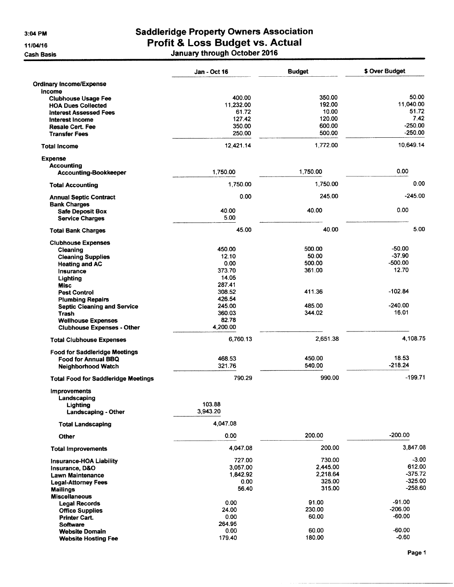$3:04$  PM

11/04/16

**Cash Basis** 

# **Saddleridge Property Owners Association** Profit & Loss Budget vs. Actual<br>January through October 2016

|                                                                | Jan - Oct 16     | <b>Budget</b> | \$ Over Budget |
|----------------------------------------------------------------|------------------|---------------|----------------|
| <b>Ordinary Income/Expense</b>                                 |                  |               |                |
| Income<br><b>Clubhouse Usage Fee</b>                           | 400.00           | 350.00        | 50.00          |
| <b>HOA Dues Collected</b>                                      | 11,232.00        | 192.00        | 11.040.00      |
| <b>Interest Assessed Fees</b>                                  | 61.72            | 10.00         | 51.72          |
| Interest Income                                                | 127.42           | 120.00        | 7.42           |
| <b>Resale Cert. Fee</b>                                        | 350.00           | 600.00        | $-250.00$      |
| <b>Transfer Fees</b>                                           | 250.00           | 500.00        | $-250.00$      |
| <b>Total Income</b>                                            | 12,421.14        | 1,772.00      | 10.649.14      |
| <b>Expense</b>                                                 |                  |               |                |
| <b>Accounting</b>                                              |                  |               |                |
| <b>Accounting-Bookkeeper</b>                                   | 1,750.00         | 1,750.00      | 0.00           |
| <b>Total Accounting</b>                                        | 1,750.00         | 1,750.00      | 0.00           |
| <b>Annual Septic Contract</b>                                  | 0.00             | 245.00        | $-245.00$      |
| <b>Bank Charges</b>                                            |                  |               | 0.00           |
| <b>Safe Deposit Box</b>                                        | 40.00<br>5.00    | 40.00         |                |
| <b>Service Charges</b>                                         |                  |               |                |
| <b>Total Bank Charges</b>                                      | 45.00            | 40.00         | 5.00           |
| <b>Clubhouse Expenses</b>                                      |                  |               |                |
| Cleaning                                                       | 450.00           | 500.00        | $-50.00$       |
| <b>Cleaning Supplies</b>                                       | 12.10            | 50.00         | $-37.90$       |
| <b>Heating and AC</b>                                          | 0.00             | 500.00        | $-500.00$      |
| Insurance                                                      | 373.70           | 361.00        | 12.70          |
| Lighting                                                       | 14.05            |               |                |
| <b>Misc</b>                                                    | 287.41           |               |                |
| <b>Pest Control</b>                                            | 308.52           | 411.36        | -102.84        |
| <b>Plumbing Repairs</b>                                        | 426.54<br>245.00 | 485.00        | $-240.00$      |
| <b>Septic Cleaning and Service</b>                             | 360.03           | 344.02        | 16.01          |
| <b>Trash</b>                                                   | 82.78            |               |                |
| <b>Wellhouse Expenses</b><br><b>Clubhouse Expenses - Other</b> | 4,200.00         |               |                |
| <b>Total Clubhouse Expenses</b>                                | 6,760.13         | 2,651.38      | 4,108.75       |
| <b>Food for Saddleridge Meetings</b>                           |                  |               |                |
| Food for Annual BBQ                                            | 468.53           | 450.00        | 18.53          |
| Neighborhood Watch                                             | 321.76           | 540.00        | $-218.24$      |
|                                                                |                  |               |                |
| <b>Total Food for Saddleridge Meetings</b>                     | 790.29           | 990.00        | $-199.71$      |
| <b>Improvements</b>                                            |                  |               |                |
| Landscaping                                                    | 103.88           |               |                |
| Lighting<br><b>Landscaping - Other</b>                         | 3,943.20         |               |                |
| <b>Total Landscaping</b>                                       | 4.047.08         |               |                |
| Other                                                          | 0.00             | 200.00        | $-200.00$      |
| <b>Total Improvements</b>                                      | 4,047.08         | 200.00        | 3,847.08       |
| <b>Insurance-HOA Liability</b>                                 | 727.00           | 730.00        | -3.00          |
| Insurance, D&O                                                 | 3,057.00         | 2.445.00      | 612.00         |
| <b>Lawn Maintenance</b>                                        | 1,842.92         | 2,218.64      | $-375.72$      |
| <b>Legal-Attorney Fees</b>                                     | 0.00             | 325.00        | $-325.00$      |
| Mailings                                                       | 56.40            | 315.00        | $-258.60$      |
| <b>Miscellaneous</b>                                           |                  |               |                |
| <b>Legal Records</b>                                           | 0.00             | 91.00         | $-91.00$       |
| <b>Office Supplies</b>                                         | 24.00            | 230.00        | $-206.00$      |
| <b>Printer Cart.</b>                                           | 0.00             | 60.00         | $-60.00$       |
| <b>Software</b>                                                | 264.95           |               |                |
| <b>Website Domain</b>                                          | 0.00             | 60.00         | $-60.00$       |
| <b>Website Hosting Fee</b>                                     | 179.40           | 180.00        | $-0.60$        |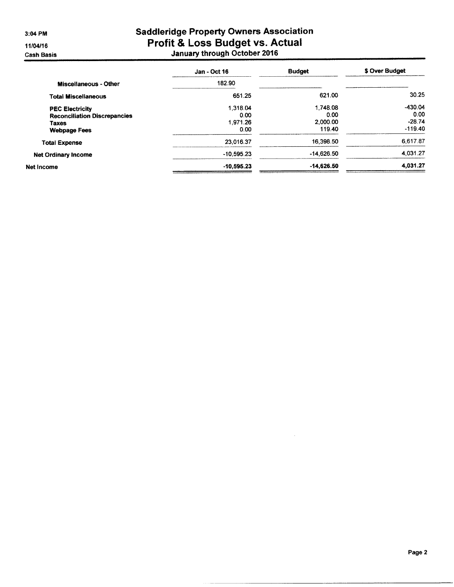3:04 PM

11/04/16

**Cash Basis** 

# **Saddleridge Property Owners Association** Profit & Loss Budget vs. Actual<br>January through October 2016

|                                     | <b>Jan - Oct 16</b> | <b>Budget</b> | \$ Over Budget |
|-------------------------------------|---------------------|---------------|----------------|
| <b>Miscellaneous - Other</b>        | 182.90              |               |                |
| <b>Total Miscellaneous</b>          | 651.25              | 621.00        | 30.25          |
| <b>PEC Electricity</b>              | 1.318.04            | 1.748.08      | $-430.04$      |
| <b>Reconciliation Discrepancies</b> | 0.00                | 0.00          | 0.00           |
| <b>Taxes</b>                        | 1.971.26            | 2,000.00      | $-28.74$       |
| <b>Webpage Fees</b>                 | 0.00                | 119.40        | $-119.40$      |
| <b>Total Expense</b>                | 23.016.37           | 16,398.50     | 6,617.87       |
| <b>Net Ordinary Income</b>          | $-10.595.23$        | $-14.626.50$  | 4.031.27       |
| Net Income                          | $-10,595.23$        | -14,626.50    | 4,031.27       |
|                                     |                     |               |                |

 $\mathcal{L}$